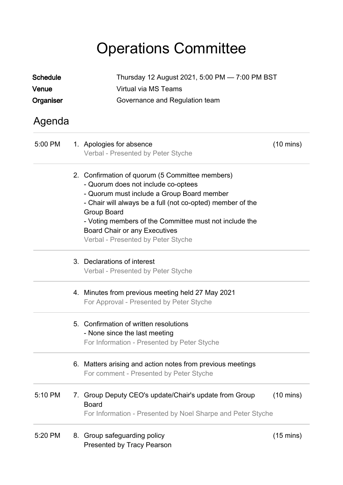## Operations Committee

| <b>Schedule</b> |                      | Thursday 12 August 2021, 5:00 PM - 7:00 PM BST                                                                                                                                                                                                                                                                                                            |                     |  |
|-----------------|----------------------|-----------------------------------------------------------------------------------------------------------------------------------------------------------------------------------------------------------------------------------------------------------------------------------------------------------------------------------------------------------|---------------------|--|
| Venue           | Virtual via MS Teams |                                                                                                                                                                                                                                                                                                                                                           |                     |  |
| Organiser       |                      | Governance and Regulation team                                                                                                                                                                                                                                                                                                                            |                     |  |
| Agenda          |                      |                                                                                                                                                                                                                                                                                                                                                           |                     |  |
| 5:00 PM         |                      | 1. Apologies for absence<br>Verbal - Presented by Peter Styche                                                                                                                                                                                                                                                                                            | $(10 \text{ mins})$ |  |
|                 |                      | 2. Confirmation of quorum (5 Committee members)<br>- Quorum does not include co-optees<br>- Quorum must include a Group Board member<br>- Chair will always be a full (not co-opted) member of the<br>Group Board<br>- Voting members of the Committee must not include the<br><b>Board Chair or any Executives</b><br>Verbal - Presented by Peter Styche |                     |  |
|                 |                      | 3. Declarations of interest<br>Verbal - Presented by Peter Styche                                                                                                                                                                                                                                                                                         |                     |  |
|                 |                      | 4. Minutes from previous meeting held 27 May 2021<br>For Approval - Presented by Peter Styche                                                                                                                                                                                                                                                             |                     |  |
|                 |                      | 5. Confirmation of written resolutions<br>- None since the last meeting<br>For Information - Presented by Peter Styche                                                                                                                                                                                                                                    |                     |  |
|                 |                      | 6. Matters arising and action notes from previous meetings<br>For comment - Presented by Peter Styche                                                                                                                                                                                                                                                     |                     |  |
| 5:10 PM         |                      | 7. Group Deputy CEO's update/Chair's update from Group<br><b>Board</b><br>For Information - Presented by Noel Sharpe and Peter Styche                                                                                                                                                                                                                     | $(10 \text{ mins})$ |  |
| 5:20 PM         |                      | 8. Group safeguarding policy<br><b>Presented by Tracy Pearson</b>                                                                                                                                                                                                                                                                                         | $(15 \text{ mins})$ |  |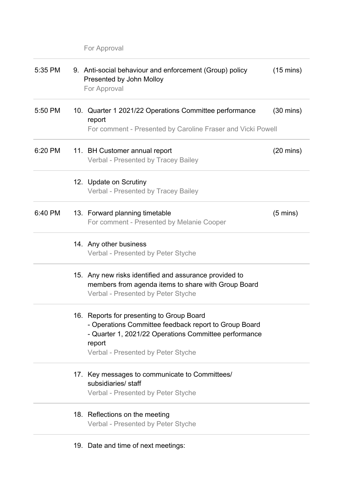For Approval

| 5:35 PM | 9. Anti-social behaviour and enforcement (Group) policy<br>Presented by John Molloy<br>For Approval                                                                                                         | $(15 \text{ mins})$ |
|---------|-------------------------------------------------------------------------------------------------------------------------------------------------------------------------------------------------------------|---------------------|
| 5:50 PM | 10. Quarter 1 2021/22 Operations Committee performance<br>report<br>For comment - Presented by Caroline Fraser and Vicki Powell                                                                             | $(30 \text{ mins})$ |
| 6:20 PM | 11. BH Customer annual report<br><b>Verbal - Presented by Tracey Bailey</b>                                                                                                                                 | $(20 \text{ mins})$ |
|         | 12. Update on Scrutiny<br>Verbal - Presented by Tracey Bailey                                                                                                                                               |                     |
| 6:40 PM | 13. Forward planning timetable<br>For comment - Presented by Melanie Cooper                                                                                                                                 | $(5 \text{ mins})$  |
|         | 14. Any other business<br>Verbal - Presented by Peter Styche                                                                                                                                                |                     |
|         | 15. Any new risks identified and assurance provided to<br>members from agenda items to share with Group Board<br>Verbal - Presented by Peter Styche                                                         |                     |
|         | 16. Reports for presenting to Group Board<br>- Operations Committee feedback report to Group Board<br>- Quarter 1, 2021/22 Operations Committee performance<br>report<br>Verbal - Presented by Peter Styche |                     |
|         | 17. Key messages to communicate to Committees/<br>subsidiaries/ staff<br>Verbal - Presented by Peter Styche                                                                                                 |                     |
|         | 18. Reflections on the meeting<br>Verbal - Presented by Peter Styche                                                                                                                                        |                     |
|         | 19. Date and time of next meetings:                                                                                                                                                                         |                     |